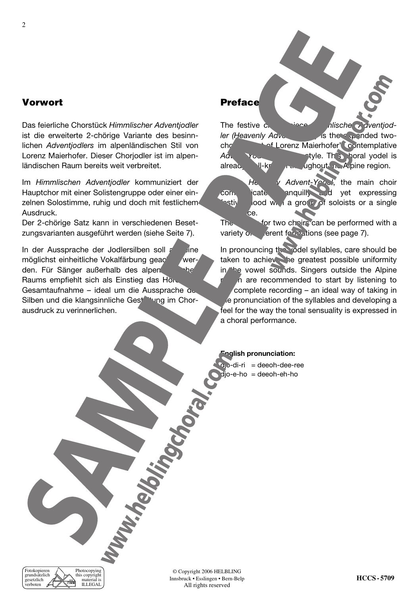## Vorwort

Das feierliche Chorstück *Himmlischer Adventjodler*  ist die erweiterte 2-chörige Variante des besinnlichen *Adventjodlers* im alpenländischen Stil von Lorenz Maierhofer. Dieser Chorjodler ist im alpenländischen Raum bereits weit verbreitet.

Im *Himmlischen Adventjodler* kommuniziert der Hauptchor mit einer Solistengruppe oder einer einzelnen Solostimme, ruhig und doch mit festlichem Ausdruck.

Der 2-chörige Satz kann in verschiedenen Besetzungsvarianten ausgeführt werden (siehe Seite 7).

In der Aussprache der Jodlersilben soll  $\epsilon$  eine möglichst einheitliche Vokalfärbung geachtet werden. Für Sänger außerhalb des alpen Raums empfiehlt sich als Einstieg das Höre Gesamtaufnahme – ideal um die Aussprache der Silben und die klangsinnliche Gestaltung im Chorausdruck zu verinnerlichen.

## Preface

The festive charal piece *Alische* aventjod*ler (Heavenly Advent-Your Adventilly is the expanded two*choir variant Lorenz Maierhofer's contemplative Advent-You also a like style. This choral yodel is alread  $N - kr$  and uphout the Alpine region.

In the *Heavenly Advent-Yodel*, the main choir com icate anguilly and yet expressing  $\frac{1}{2}$  a group of soloists or a single ce.

The setting for two choirs can be performed with a variety of different formations (see page 7).

In pronouncing the yodel syllables, care should be taken to achieve the greatest possible uniformity in the vowel sounds. Singers outside the Alpine  $n$  are recommended to start by listening to complete recording – an ideal way of taking in the pronunciation of the syllables and developing a feel for the way the tonal sensuality is expressed in a choral performance.

**English pronunciation:**

 $dv$ -di-ri = deeoh-dee-ree djo-e-ho = deeoh-eh-ho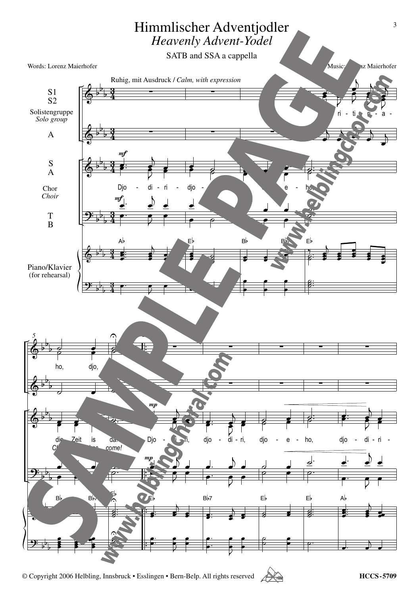

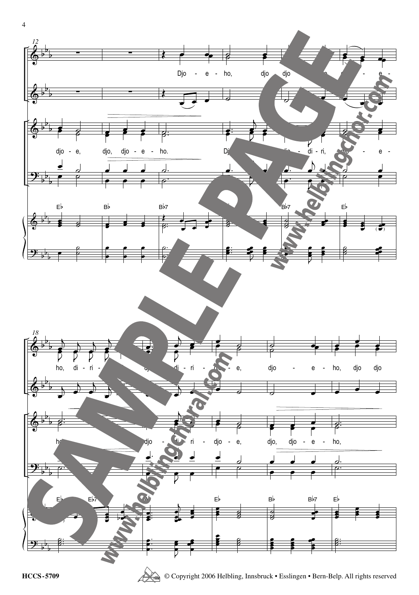

**HCCS-5709** © Copyright 2006 Helbling, Innsbruck • Esslingen • Bern-Belp. All rights reserved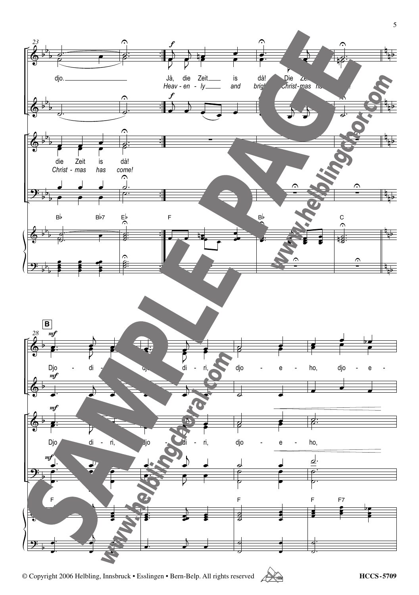

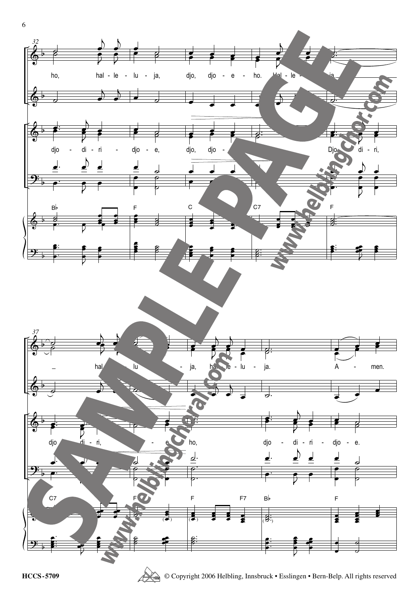



**HCCS-5709** 

© Copyright 2006 Helbling, Innsbruck • Esslingen • Bern-Belp. All rights reserved